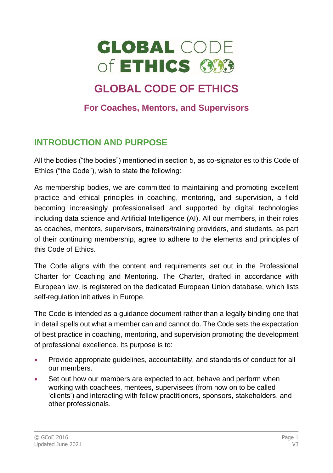

# **GLOBAL CODE OF ETHICS**

#### **For Coaches, Mentors, and Supervisors**

# **INTRODUCTION AND PURPOSE**

All the bodies ("the bodies") mentioned in section 5, as co-signatories to this Code of Ethics ("the Code"), wish to state the following:

As membership bodies, we are committed to maintaining and promoting excellent practice and ethical principles in coaching, mentoring, and supervision, a field becoming increasingly professionalised and supported by digital technologies including data science and Artificial Intelligence (AI). All our members, in their roles as coaches, mentors, supervisors, trainers/training providers, and students, as part of their continuing membership, agree to adhere to the elements and principles of this Code of Ethics.

The Code aligns with the content and requirements set out in the Professional Charter for Coaching and Mentoring. The Charter, drafted in accordance with European law, is registered on the dedicated European Union database, which lists self-regulation initiatives in Europe.

The Code is intended as a guidance document rather than a legally binding one that in detail spells out what a member can and cannot do. The Code sets the expectation of best practice in coaching, mentoring, and supervision promoting the development of professional excellence. Its purpose is to:

- Provide appropriate guidelines, accountability, and standards of conduct for all our members.
- Set out how our members are expected to act, behave and perform when working with coachees, mentees, supervisees (from now on to be called 'clients') and interacting with fellow practitioners, sponsors, stakeholders, and other professionals.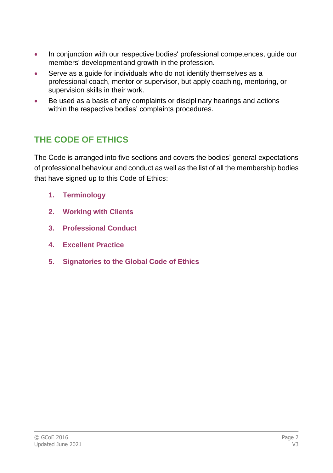- In conjunction with our respective bodies' professional competences, quide our members' developmentand growth in the profession.
- Serve as a quide for individuals who do not identify themselves as a professional coach, mentor or supervisor, but apply coaching, mentoring, or supervision skills in their work.
- Be used as a basis of any complaints or disciplinary hearings and actions within the respective bodies' complaints procedures.

# **THE CODE OF ETHICS**

The Code is arranged into five sections and covers the bodies' general expectations of professional behaviour and conduct as well as the list of all the membership bodies that have signed up to this Code of Ethics:

- **1. Terminology**
- **2. Working with Clients**
- **3. Professional Conduct**
- **4. Excellent Practice**
- **5. Signatories to the Global Code of Ethics**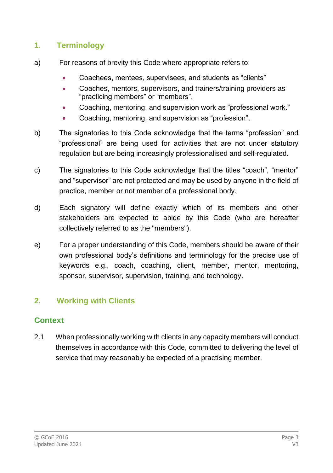#### **1. Terminology**

- a) For reasons of brevity this Code where appropriate refers to:
	- Coachees, mentees, supervisees, and students as "clients"
	- Coaches, mentors, supervisors, and trainers/training providers as "practicing members" or "members".
	- Coaching, mentoring, and supervision work as "professional work."
	- Coaching, mentoring, and supervision as "profession".
- b) The signatories to this Code acknowledge that the terms "profession" and "professional" are being used for activities that are not under statutory regulation but are being increasingly professionalised and self-regulated.
- c) The signatories to this Code acknowledge that the titles "coach", "mentor" and "supervisor" are not protected and may be used by anyone in the field of practice, member or not member of a professional body.
- d) Each signatory will define exactly which of its members and other stakeholders are expected to abide by this Code (who are hereafter collectively referred to as the "members").
- e) For a proper understanding of this Code, members should be aware of their own professional body's definitions and terminology for the precise use of keywords e.g., coach, coaching, client, member, mentor, mentoring, sponsor, supervisor, supervision, training, and technology.

## **2. Working with Clients**

#### **Context**

2.1 When professionally working with clients in any capacity members will conduct themselves in accordance with this Code, committed to delivering the level of service that may reasonably be expected of a practising member.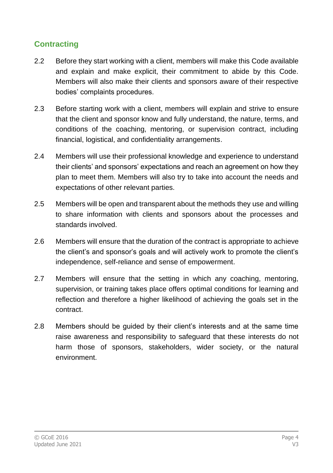## **Contracting**

- 2.2 Before they start working with a client, members will make this Code available and explain and make explicit, their commitment to abide by this Code. Members will also make their clients and sponsors aware of their respective bodies' complaints procedures.
- 2.3 Before starting work with a client, members will explain and strive to ensure that the client and sponsor know and fully understand, the nature, terms, and conditions of the coaching, mentoring, or supervision contract, including financial, logistical, and confidentiality arrangements.
- 2.4 Members will use their professional knowledge and experience to understand their clients' and sponsors' expectations and reach an agreement on how they plan to meet them. Members will also try to take into account the needs and expectations of other relevant parties.
- 2.5 Members will be open and transparent about the methods they use and willing to share information with clients and sponsors about the processes and standards involved.
- 2.6 Members will ensure that the duration of the contract is appropriate to achieve the client's and sponsor's goals and will actively work to promote the client's independence, self-reliance and sense of empowerment.
- 2.7 Members will ensure that the setting in which any coaching, mentoring, supervision, or training takes place offers optimal conditions for learning and reflection and therefore a higher likelihood of achieving the goals set in the contract.
- 2.8 Members should be guided by their client's interests and at the same time raise awareness and responsibility to safeguard that these interests do not harm those of sponsors, stakeholders, wider society, or the natural environment.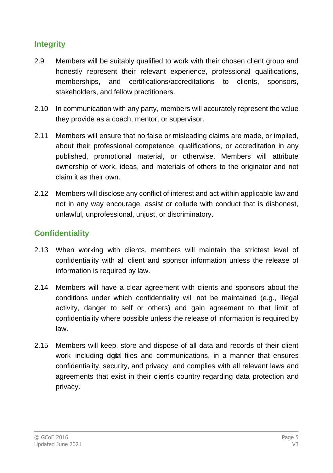#### **Integrity**

- 2.9 Members will be suitably qualified to work with their chosen client group and honestly represent their relevant experience, professional qualifications, memberships, and certifications/accreditations to clients, sponsors, stakeholders, and fellow practitioners.
- 2.10 In communication with any party, members will accurately represent the value they provide as a coach, mentor, or supervisor.
- 2.11 Members will ensure that no false or misleading claims are made, or implied, about their professional competence, qualifications, or accreditation in any published, promotional material, or otherwise. Members will attribute ownership of work, ideas, and materials of others to the originator and not claim it as their own.
- 2.12 Members will disclose any conflict of interest and act within applicable law and not in any way encourage, assist or collude with conduct that is dishonest, unlawful, unprofessional, unjust, or discriminatory.

#### **Confidentiality**

- 2.13 When working with clients, members will maintain the strictest level of confidentiality with all client and sponsor information unless the release of information is required by law.
- 2.14 Members will have a clear agreement with clients and sponsors about the conditions under which confidentiality will not be maintained (e.g., illegal activity, danger to self or others) and gain agreement to that limit of confidentiality where possible unless the release of information is required by law.
- 2.15 Members will keep, store and dispose of all data and records of their client work including digital files and communications, in a manner that ensures confidentiality, security, and privacy, and complies with all relevant laws and agreements that exist in their client's country regarding data protection and privacy.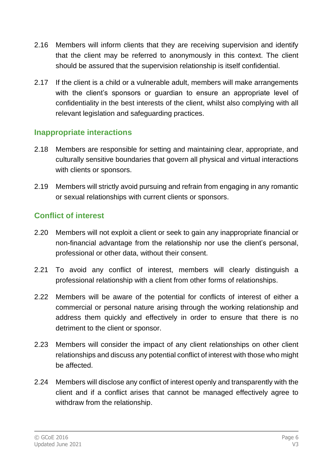- 2.16 Members will inform clients that they are receiving supervision and identify that the client may be referred to anonymously in this context. The client should be assured that the supervision relationship is itself confidential.
- 2.17 If the client is a child or a vulnerable adult, members will make arrangements with the client's sponsors or guardian to ensure an appropriate level of confidentiality in the best interests of the client, whilst also complying with all relevant legislation and safeguarding practices.

#### **Inappropriate interactions**

- 2.18 Members are responsible for setting and maintaining clear, appropriate, and culturally sensitive boundaries that govern all physical and virtual interactions with clients or sponsors.
- 2.19 Members will strictly avoid pursuing and refrain from engaging in any romantic or sexual relationships with current clients or sponsors.

#### **Conflict of interest**

- 2.20 Members will not exploit a client or seek to gain any inappropriate financial or non-financial advantage from the relationship nor use the client's personal, professional or other data, without their consent.
- 2.21 To avoid any conflict of interest, members will clearly distinguish a professional relationship with a client from other forms of relationships.
- 2.22 Members will be aware of the potential for conflicts of interest of either a commercial or personal nature arising through the working relationship and address them quickly and effectively in order to ensure that there is no detriment to the client or sponsor.
- 2.23 Members will consider the impact of any client relationships on other client relationships and discuss any potential conflict of interest with those who might be affected.
- 2.24 Members will disclose any conflict of interest openly and transparently with the client and if a conflict arises that cannot be managed effectively agree to withdraw from the relationship.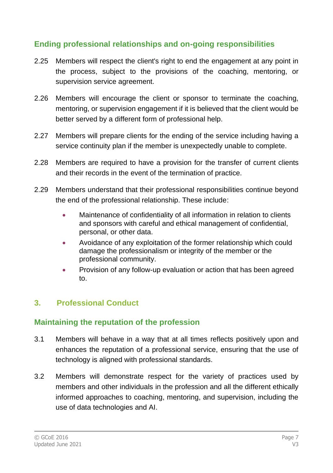#### **Ending professional relationships and on-going responsibilities**

- 2.25 Members will respect the client's right to end the engagement at any point in the process, subject to the provisions of the coaching, mentoring, or supervision service agreement.
- 2.26 Members will encourage the client or sponsor to terminate the coaching, mentoring, or supervision engagement if it is believed that the client would be better served by a different form of professional help.
- 2.27 Members will prepare clients for the ending of the service including having a service continuity plan if the member is unexpectedly unable to complete.
- 2.28 Members are required to have a provision for the transfer of current clients and their records in the event of the termination of practice.
- 2.29 Members understand that their professional responsibilities continue beyond the end of the professional relationship. These include:
	- Maintenance of confidentiality of all information in relation to clients and sponsors with careful and ethical management of confidential, personal, or other data.
	- Avoidance of any exploitation of the former relationship which could damage the professionalism or integrity of the member or the professional community.
	- Provision of any follow-up evaluation or action that has been agreed to.

## **3. Professional Conduct**

#### **Maintaining the reputation of the profession**

- 3.1 Members will behave in a way that at all times reflects positively upon and enhances the reputation of a professional service, ensuring that the use of technology is aligned with professional standards.
- 3.2 Members will demonstrate respect for the variety of practices used by members and other individuals in the profession and all the different ethically informed approaches to coaching, mentoring, and supervision, including the use of data technologies and AI.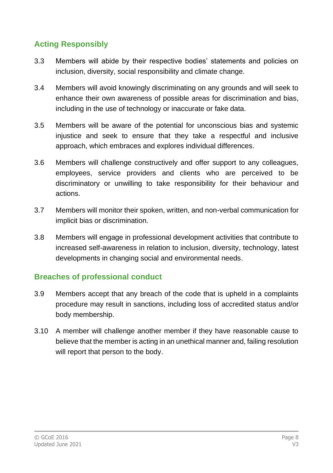## **Acting Responsibly**

- 3.3 Members will abide by their respective bodies' statements and policies on inclusion, diversity, social responsibility and climate change.
- 3.4 Members will avoid knowingly discriminating on any grounds and will seek to enhance their own awareness of possible areas for discrimination and bias, including in the use of technology or inaccurate or fake data.
- 3.5 Members will be aware of the potential for unconscious bias and systemic injustice and seek to ensure that they take a respectful and inclusive approach, which embraces and explores individual differences.
- 3.6 Members will challenge constructively and offer support to any colleagues, employees, service providers and clients who are perceived to be discriminatory or unwilling to take responsibility for their behaviour and actions.
- 3.7 Members will monitor their spoken, written, and non-verbal communication for implicit bias or discrimination.
- 3.8 Members will engage in professional development activities that contribute to increased self-awareness in relation to inclusion, diversity, technology, latest developments in changing social and environmental needs.

#### **Breaches of professional conduct**

- 3.9 Members accept that any breach of the code that is upheld in a complaints procedure may result in sanctions, including loss of accredited status and/or body membership.
- 3.10 A member will challenge another member if they have reasonable cause to believe that the member is acting in an unethical manner and, failing resolution will report that person to the body.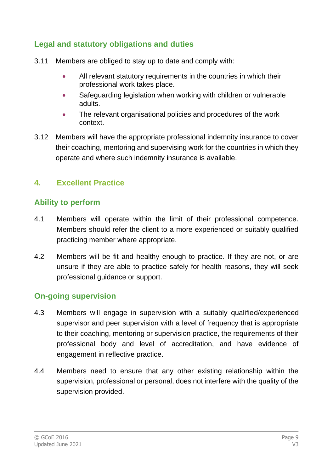#### **Legal and statutory obligations and duties**

- 3.11 Members are obliged to stay up to date and comply with:
	- All relevant statutory requirements in the countries in which their professional work takes place.
	- Safeguarding legislation when working with children or vulnerable adults.
	- The relevant organisational policies and procedures of the work context.
- 3.12 Members will have the appropriate professional indemnity insurance to cover their coaching, mentoring and supervising work for the countries in which they operate and where such indemnity insurance is available.

#### **4. Excellent Practice**

#### **Ability to perform**

- 4.1 Members will operate within the limit of their professional competence. Members should refer the client to a more experienced or suitably qualified practicing member where appropriate.
- 4.2 Members will be fit and healthy enough to practice. If they are not, or are unsure if they are able to practice safely for health reasons, they will seek professional guidance or support.

#### **On-going supervision**

- 4.3 Members will engage in supervision with a suitably qualified/experienced supervisor and peer supervision with a level of frequency that is appropriate to their coaching, mentoring or supervision practice, the requirements of their professional body and level of accreditation, and have evidence of engagement in reflective practice.
- 4.4 Members need to ensure that any other existing relationship within the supervision, professional or personal, does not interfere with the quality of the supervision provided.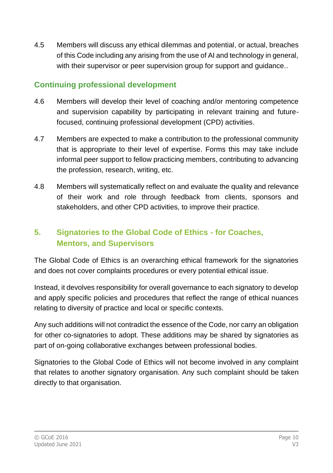4.5 Members will discuss any ethical dilemmas and potential, or actual, breaches of this Code including any arising from the use of AI and technology in general, with their supervisor or peer supervision group for support and guidance..

#### **Continuing professional development**

- 4.6 Members will develop their level of coaching and/or mentoring competence and supervision capability by participating in relevant training and futurefocused, continuing professional development (CPD) activities.
- 4.7 Members are expected to make a contribution to the professional community that is appropriate to their level of expertise. Forms this may take include informal peer support to fellow practicing members, contributing to advancing the profession, research, writing, etc.
- 4.8 Members will systematically reflect on and evaluate the quality and relevance of their work and role through feedback from clients, sponsors and stakeholders, and other CPD activities, to improve their practice.

# **5. Signatories to the Global Code of Ethics - for Coaches, Mentors, and Supervisors**

The Global Code of Ethics is an overarching ethical framework for the signatories and does not cover complaints procedures or every potential ethical issue.

Instead, it devolves responsibility for overall governance to each signatory to develop and apply specific policies and procedures that reflect the range of ethical nuances relating to diversity of practice and local or specific contexts.

Any such additions will not contradict the essence of the Code, nor carry an obligation for other co-signatories to adopt. These additions may be shared by signatories as part of on-going collaborative exchanges between professional bodies.

Signatories to the Global Code of Ethics will not become involved in any complaint that relates to another signatory organisation. Any such complaint should be taken directly to that organisation.